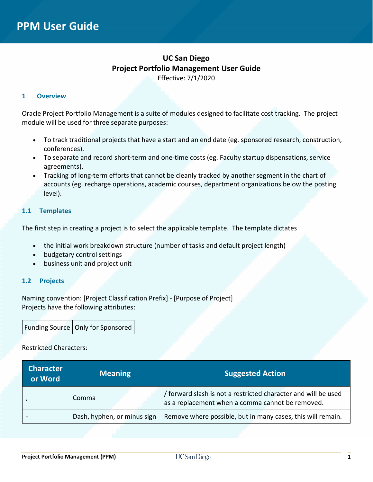## **UC San Diego Project Portfolio Management User Guide** Effective: 7/1/2020

#### **1 Overview**

Oracle Project Portfolio Management is a suite of modules designed to facilitate cost tracking. The project module will be used for three separate purposes:

- To track traditional projects that have a start and an end date (eg. sponsored research, construction, conferences).
- To separate and record short-term and one-time costs (eg. Faculty startup dispensations, service agreements).
- Tracking of long-term efforts that cannot be cleanly tracked by another segment in the chart of accounts (eg. recharge operations, academic courses, department organizations below the posting level).

#### **1.1 Templates**

The first step in creating a project is to select the applicable template. The template dictates

- the initial work breakdown structure (number of tasks and default project length)
- budgetary control settings
- business unit and project unit

## **1.2 Projects**

Naming convention: [Project Classification Prefix] - [Purpose of Project] Projects have the following attributes:

Funding Source | Only for Sponsored

#### Restricted Characters:

| <b>Character</b><br>or Word | <b>Meaning</b>              | <b>Suggested Action</b>                                                                                            |
|-----------------------------|-----------------------------|--------------------------------------------------------------------------------------------------------------------|
|                             | Comma                       | / forward slash is not a restricted character and will be used<br>as a replacement when a comma cannot be removed. |
|                             | Dash, hyphen, or minus sign | Remove where possible, but in many cases, this will remain.                                                        |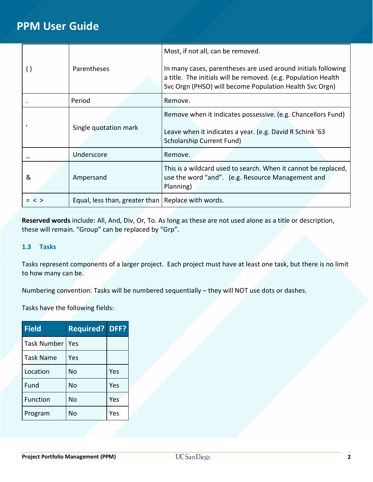|         |                                                      | Most, if not all, can be removed.                                                                                                                                                          |
|---------|------------------------------------------------------|--------------------------------------------------------------------------------------------------------------------------------------------------------------------------------------------|
|         | <b>Parentheses</b>                                   | In many cases, parentheses are used around initials following<br>a title. The initials will be removed. (e.g. Population Health<br>Svc Orgn (PHSO) will become Population Health Svc Orgn) |
|         | Period                                               | Remove.                                                                                                                                                                                    |
|         | Single quotation mark                                | Remove when it indicates possessive. (e.g. Chancellors Fund)<br>Leave when it indicates a year. (e.g. David R Schink '63<br><b>Scholarship Current Fund)</b>                               |
|         | Underscore                                           | Remove.                                                                                                                                                                                    |
| &       | Ampersand                                            | This is a wildcard used to search. When it cannot be replaced,<br>use the word "and". (e.g. Resource Management and<br>Planning)                                                           |
| $=$ < > | Equal, less than, greater than   Replace with words. |                                                                                                                                                                                            |

**Reserved words** include: All, And, Div, Or, To. As long as these are not used alone as a title or description, these will remain. "Group" can be replaced by "Grp".

## **1.3 Tasks**

Tasks represent components of a larger project. Each project must have at least one task, but there is no limit to how many can be.

Numbering convention: Tasks will be numbered sequentially – they will NOT use dots or dashes.

Tasks have the following fields:

| <b>Field</b>       | <b>Required? DFF?</b> |     |
|--------------------|-----------------------|-----|
| <b>Task Number</b> | Yes                   |     |
| <b>Task Name</b>   | Yes                   |     |
| Location           | No                    | Yes |
| Fund               | No                    | Yes |
| <b>Function</b>    | No                    | Yes |
| Program            | No                    | Yes |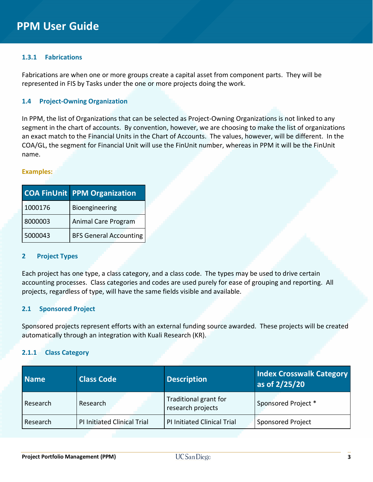## **1.3.1 Fabrications**

Fabrications are when one or more groups create a capital asset from component parts. They will be represented in FIS by Tasks under the one or more projects doing the work.

### **1.4 Project-Owning Organization**

In PPM, the list of Organizations that can be selected as Project-Owning Organizations is not linked to any segment in the chart of accounts. By convention, however, we are choosing to make the list of organizations an exact match to the Financial Units in the Chart of Accounts. The values, however, will be different. In the COA/GL, the segment for Financial Unit will use the FinUnit number, whereas in PPM it will be the FinUnit name.

#### **Examples:**

|         | <b>COA FinUnit PPM Organization</b> |
|---------|-------------------------------------|
| 1000176 | Bioengineering                      |
| 8000003 | Animal Care Program                 |
| 5000043 | <b>BFS General Accounting</b>       |

#### **2 Project Types**

Each project has one type, a class category, and a class code. The types may be used to drive certain accounting processes. Class categories and codes are used purely for ease of grouping and reporting. All projects, regardless of type, will have the same fields visible and available.

## **2.1 Sponsored Project**

Sponsored projects represent efforts with an external funding source awarded. These projects will be created automatically through an integration with Kuali Research (KR).

## **2.1.1 Class Category**

| <b>Name</b> | <b>Class Code</b>                  | <b>Description</b>                         | <b>Index Crosswalk Category</b><br>as of 2/25/20 |
|-------------|------------------------------------|--------------------------------------------|--------------------------------------------------|
| Research    | Research                           | Traditional grant for<br>research projects | Sponsored Project *                              |
| Research    | <b>PI Initiated Clinical Trial</b> | <b>PI Initiated Clinical Trial</b>         | <b>Sponsored Project</b>                         |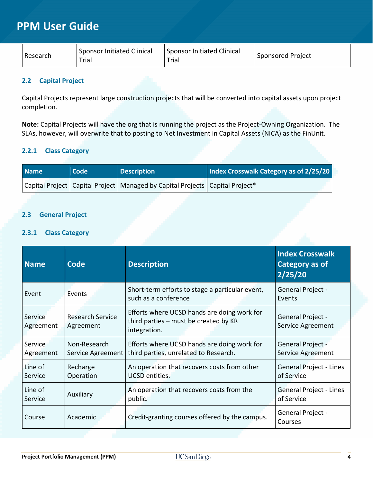| <b>Sponsor Initiated Clinical</b><br>Research<br>Trial | <b>Sponsor Initiated Clinical</b><br>Trial | Sponsored Project |
|--------------------------------------------------------|--------------------------------------------|-------------------|
|--------------------------------------------------------|--------------------------------------------|-------------------|

## **2.2 Capital Project**

Capital Projects represent large construction projects that will be converted into capital assets upon project completion.

**Note:** Capital Projects will have the org that is running the project as the Project-Owning Organization. The SLAs, however, will overwrite that to posting to Net Investment in Capital Assets (NICA) as the FinUnit.

## **2.2.1 Class Category**

| <b>Name</b> | l Code <sup>l</sup> | <b>Description</b>                                                                 | Index Crosswalk Category as of 2/25/20 |
|-------------|---------------------|------------------------------------------------------------------------------------|----------------------------------------|
|             |                     | Capital Project   Capital Project   Managed by Capital Projects   Capital Project* |                                        |

## **2.3 General Project**

### **2.3.1 Class Category**

| Code<br><b>Name</b>                                          |                       | <b>Description</b>                                                                                   | <b>Index Crosswalk</b><br>Category as of<br>2/25/20 |
|--------------------------------------------------------------|-----------------------|------------------------------------------------------------------------------------------------------|-----------------------------------------------------|
| Event                                                        | Events                | Short-term efforts to stage a particular event,<br>such as a conference                              | General Project -<br>Events                         |
| <b>Research Service</b><br>Service<br>Agreement<br>Agreement |                       | Efforts where UCSD hands are doing work for<br>third parties - must be created by KR<br>integration. | General Project -<br>Service Agreement              |
| Non-Research<br>Service<br>Service Agreement<br>Agreement    |                       | Efforts where UCSD hands are doing work for<br>third parties, unrelated to Research.                 | General Project -<br>Service Agreement              |
| Line of<br>Service                                           | Recharge<br>Operation | An operation that recovers costs from other<br><b>UCSD</b> entities.                                 | General Project - Lines<br>of Service               |
| Line of<br>Service                                           | Auxiliary             | An operation that recovers costs from the<br>public.                                                 | <b>General Project - Lines</b><br>of Service        |
| Academic<br>Course                                           |                       | Credit-granting courses offered by the campus.                                                       | General Project -<br>Courses                        |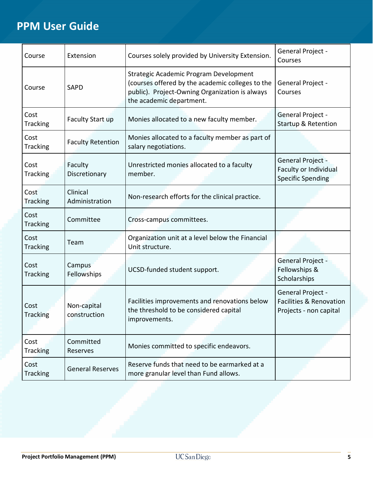| Course                                                 | Extension                  | Courses solely provided by University Extension.                                                                                                                         | General Project -<br>Courses                                                      |
|--------------------------------------------------------|----------------------------|--------------------------------------------------------------------------------------------------------------------------------------------------------------------------|-----------------------------------------------------------------------------------|
| Course                                                 | <b>SAPD</b>                | Strategic Academic Program Development<br>(courses offered by the academic colleges to the<br>public). Project-Owning Organization is always<br>the academic department. | General Project -<br>Courses                                                      |
| Cost<br><b>Tracking</b>                                | Faculty Start up           | Monies allocated to a new faculty member.                                                                                                                                | General Project -<br><b>Startup &amp; Retention</b>                               |
| Cost<br><b>Tracking</b>                                | <b>Faculty Retention</b>   | Monies allocated to a faculty member as part of<br>salary negotiations.                                                                                                  |                                                                                   |
| Cost<br><b>Tracking</b>                                | Faculty<br>Discretionary   | Unrestricted monies allocated to a faculty<br>member.                                                                                                                    | General Project -<br>Faculty or Individual<br><b>Specific Spending</b>            |
| Cost<br><b>Tracking</b>                                | Clinical<br>Administration | Non-research efforts for the clinical practice.                                                                                                                          |                                                                                   |
| Cost<br>Tracking                                       | Committee                  | Cross-campus committees.                                                                                                                                                 |                                                                                   |
| Cost<br><b>Tracking</b>                                | Team                       | Organization unit at a level below the Financial<br>Unit structure.                                                                                                      |                                                                                   |
| Cost<br><b>Tracking</b>                                | Campus<br>Fellowships      | UCSD-funded student support.                                                                                                                                             | General Project -<br>Fellowships &<br>Scholarships                                |
| Non-capital<br>Cost<br><b>Tracking</b><br>construction |                            | Facilities improvements and renovations below<br>the threshold to be considered capital<br>improvements.                                                                 | General Project -<br><b>Facilities &amp; Renovation</b><br>Projects - non capital |
| Cost<br><b>Tracking</b>                                | Committed<br>Reserves      | Monies committed to specific endeavors.                                                                                                                                  |                                                                                   |
| Cost<br><b>Tracking</b>                                | <b>General Reserves</b>    | Reserve funds that need to be earmarked at a<br>more granular level than Fund allows.                                                                                    |                                                                                   |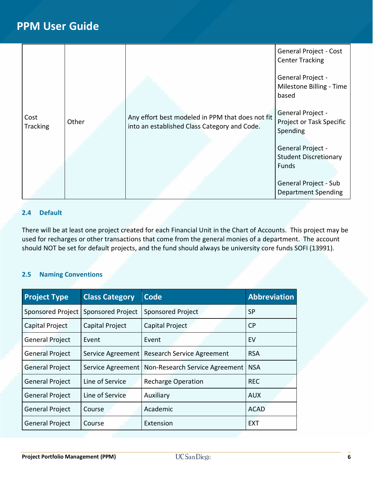|                         |       |                                                                                                  | <b>General Project - Cost</b><br><b>Center Tracking</b>   |
|-------------------------|-------|--------------------------------------------------------------------------------------------------|-----------------------------------------------------------|
|                         |       |                                                                                                  | General Project -<br>Milestone Billing - Time<br>based    |
| Cost<br><b>Tracking</b> | Other | Any effort best modeled in PPM that does not fit<br>into an established Class Category and Code. | General Project -<br>Project or Task Specific<br>Spending |
|                         |       |                                                                                                  | General Project -                                         |
|                         |       |                                                                                                  | <b>Student Discretionary</b>                              |
|                         |       |                                                                                                  | <b>Funds</b>                                              |
|                         |       |                                                                                                  | General Project - Sub                                     |
|                         |       |                                                                                                  | <b>Department Spending</b>                                |

## **2.4 Default**

There will be at least one project created for each Financial Unit in the Chart of Accounts. This project may be used for recharges or other transactions that come from the general monies of a department. The account should NOT be set for default projects, and the fund should always be university core funds SOFI (13991).

## **2.5 Naming Conventions**

| <b>Project Type</b>      | <b>Class Category</b>    | <b>Code</b>                       | <b>Abbreviation</b> |
|--------------------------|--------------------------|-----------------------------------|---------------------|
| <b>Sponsored Project</b> | <b>Sponsored Project</b> | Sponsored Project                 | <b>SP</b>           |
| Capital Project          | Capital Project          | Capital Project                   | <b>CP</b>           |
| <b>General Project</b>   | Event                    | Event                             | EV                  |
| <b>General Project</b>   | Service Agreement        | <b>Research Service Agreement</b> | <b>RSA</b>          |
| <b>General Project</b>   | Service Agreement        | Non-Research Service Agreement    | <b>NSA</b>          |
| <b>General Project</b>   | Line of Service          | <b>Recharge Operation</b>         | <b>REC</b>          |
| <b>General Project</b>   | Line of Service          | Auxiliary                         | <b>AUX</b>          |
| <b>General Project</b>   | Course                   | Academic                          | <b>ACAD</b>         |
| <b>General Project</b>   | Course                   | Extension                         | <b>EXT</b>          |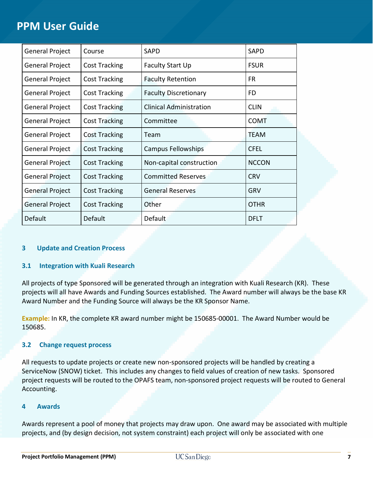| <b>General Project</b> | Course               | <b>SAPD</b>                    | <b>SAPD</b>  |
|------------------------|----------------------|--------------------------------|--------------|
| General Project        | <b>Cost Tracking</b> | Faculty Start Up               | <b>FSUR</b>  |
| <b>General Project</b> | <b>Cost Tracking</b> | <b>Faculty Retention</b>       | FR.          |
| General Project        | <b>Cost Tracking</b> | <b>Faculty Discretionary</b>   | FD.          |
| <b>General Project</b> | <b>Cost Tracking</b> | <b>Clinical Administration</b> | <b>CLIN</b>  |
| General Project        | <b>Cost Tracking</b> | Committee                      | <b>COMT</b>  |
| <b>General Project</b> | <b>Cost Tracking</b> | Team                           | TEAM         |
| General Project        | <b>Cost Tracking</b> | Campus Fellowships             | <b>CFEL</b>  |
| <b>General Project</b> | <b>Cost Tracking</b> | Non-capital construction       | <b>NCCON</b> |
| <b>General Project</b> | <b>Cost Tracking</b> | <b>Committed Reserves</b>      | <b>CRV</b>   |
| <b>General Project</b> | <b>Cost Tracking</b> | <b>General Reserves</b>        | GRV          |
| <b>General Project</b> | <b>Cost Tracking</b> | Other                          | <b>OTHR</b>  |
| Default                | Default              | Default                        | DFLT         |

## **3 Update and Creation Process**

## **3.1 Integration with Kuali Research**

All projects of type Sponsored will be generated through an integration with Kuali Research (KR). These projects will all have Awards and Funding Sources established. The Award number will always be the base KR Award Number and the Funding Source will always be the KR Sponsor Name.

**Example:** In KR, the complete KR award number might be 150685-00001. The Award Number would be 150685.

## **3.2 Change request process**

All requests to update projects or create new non-sponsored projects will be handled by creating a ServiceNow (SNOW) ticket. This includes any changes to field values of creation of new tasks. Sponsored project requests will be routed to the OPAFS team, non-sponsored project requests will be routed to General Accounting.

## **4 Awards**

Awards represent a pool of money that projects may draw upon. One award may be associated with multiple projects, and (by design decision, not system constraint) each project will only be associated with one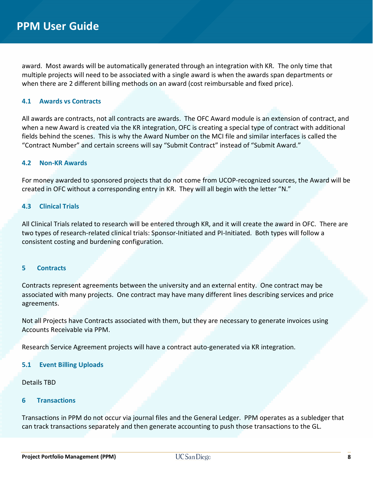award. Most awards will be automatically generated through an integration with KR. The only time that multiple projects will need to be associated with a single award is when the awards span departments or when there are 2 different billing methods on an award (cost reimbursable and fixed price).

## **4.1 Awards vs Contracts**

All awards are contracts, not all contracts are awards. The OFC Award module is an extension of contract, and when a new Award is created via the KR integration, OFC is creating a special type of contract with additional fields behind the scenes. This is why the Award Number on the MCI file and similar interfaces is called the "Contract Number" and certain screens will say "Submit Contract" instead of "Submit Award."

#### **4.2 Non-KR Awards**

For money awarded to sponsored projects that do not come from UCOP-recognized sources, the Award will be created in OFC without a corresponding entry in KR. They will all begin with the letter "N."

#### **4.3 Clinical Trials**

All Clinical Trials related to research will be entered through KR, and it will create the award in OFC. There are two types of research-related clinical trials: Sponsor-Initiated and PI-Initiated. Both types will follow a consistent costing and burdening configuration.

#### **5 Contracts**

Contracts represent agreements between the university and an external entity. One contract may be associated with many projects. One contract may have many different lines describing services and price agreements.

Not all Projects have Contracts associated with them, but they are necessary to generate invoices using Accounts Receivable via PPM.

Research Service Agreement projects will have a contract auto-generated via KR integration.

#### **5.1 Event Billing Uploads**

Details TBD

#### **6 Transactions**

Transactions in PPM do not occur via journal files and the General Ledger. PPM operates as a subledger that can track transactions separately and then generate accounting to push those transactions to the GL.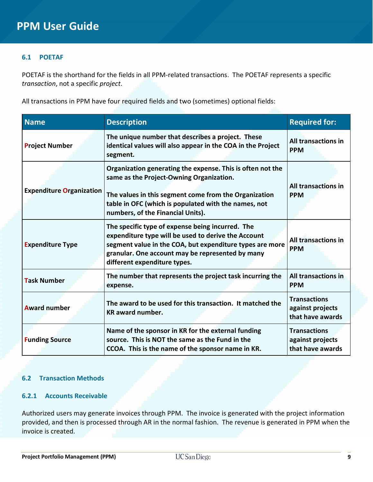## **6.1 POETAF**

POETAF is the shorthand for the fields in all PPM-related transactions. The POETAF represents a specific *transaction*, not a specific *project*.

All transactions in PPM have four required fields and two (sometimes) optional fields:

| <b>Name</b>                     | <b>Description</b>                                                                                                                                                                                                                                           | <b>Required for:</b>                                        |  |
|---------------------------------|--------------------------------------------------------------------------------------------------------------------------------------------------------------------------------------------------------------------------------------------------------------|-------------------------------------------------------------|--|
| <b>Project Number</b>           | The unique number that describes a project. These<br>identical values will also appear in the COA in the Project<br>segment.                                                                                                                                 | All transactions in<br><b>PPM</b>                           |  |
| <b>Expenditure Organization</b> | Organization generating the expense. This is often not the<br>same as the Project-Owning Organization.<br>The values in this segment come from the Organization<br>table in OFC (which is populated with the names, not<br>numbers, of the Financial Units). | All transactions in<br><b>PPM</b>                           |  |
| <b>Expenditure Type</b>         | The specific type of expense being incurred. The<br>expenditure type will be used to derive the Account<br>segment value in the COA, but expenditure types are more<br>granular. One account may be represented by many<br>different expenditure types.      | All transactions in<br><b>PPM</b>                           |  |
| <b>Task Number</b>              | The number that represents the project task incurring the<br>expense.                                                                                                                                                                                        | All transactions in<br><b>PPM</b>                           |  |
| <b>Award number</b>             | The award to be used for this transaction. It matched the<br><b>KR</b> award number.                                                                                                                                                                         | <b>Transactions</b><br>against projects<br>that have awards |  |
| <b>Funding Source</b>           | Name of the sponsor in KR for the external funding<br>source. This is NOT the same as the Fund in the<br>CCOA. This is the name of the sponsor name in KR.                                                                                                   | <b>Transactions</b><br>against projects<br>that have awards |  |

## **6.2 Transaction Methods**

## **6.2.1 Accounts Receivable**

Authorized users may generate invoices through PPM. The invoice is generated with the project information provided, and then is processed through AR in the normal fashion. The revenue is generated in PPM when the invoice is created.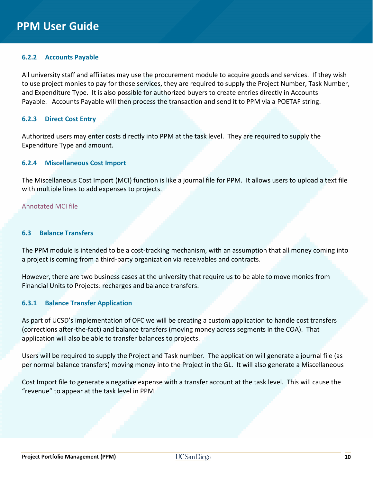## **6.2.2 Accounts Payable**

All university staff and affiliates may use the procurement module to acquire goods and services. If they wish to use project monies to pay for those services, they are required to supply the Project Number, Task Number, and Expenditure Type. It is also possible for authorized buyers to create entries directly in Accounts Payable. Accounts Payable will then process the transaction and send it to PPM via a POETAF string.

## **6.2.3 Direct Cost Entry**

Authorized users may enter costs directly into PPM at the task level. They are required to supply the Expenditure Type and amount.

#### **6.2.4 Miscellaneous Cost Import**

The Miscellaneous Cost Import (MCI) function is like a journal file for PPM. It allows users to upload a text file with multiple lines to add expenses to projects.

#### [Annotated MCI file](https://ucsdcloud-my.sharepoint.com/:x:/g/personal/esrfisp_ucsd_edu/EYNPYaeeqlFNnzJZWh1OhrMBpyTQoN9KB2EutHXrg5l64A?rtime=X0k4ceik10g)

#### **6.3 Balance Transfers**

The PPM module is intended to be a cost-tracking mechanism, with an assumption that all money coming into a project is coming from a third-party organization via receivables and contracts.

However, there are two business cases at the university that require us to be able to move monies from Financial Units to Projects: recharges and balance transfers.

#### **6.3.1 Balance Transfer Application**

As part of UCSD's implementation of OFC we will be creating a custom application to handle cost transfers (corrections after-the-fact) and balance transfers (moving money across segments in the COA). That application will also be able to transfer balances to projects.

Users will be required to supply the Project and Task number. The application will generate a journal file (as per normal balance transfers) moving money into the Project in the GL. It will also generate a Miscellaneous

Cost Import file to generate a negative expense with a transfer account at the task level. This will cause the "revenue" to appear at the task level in PPM.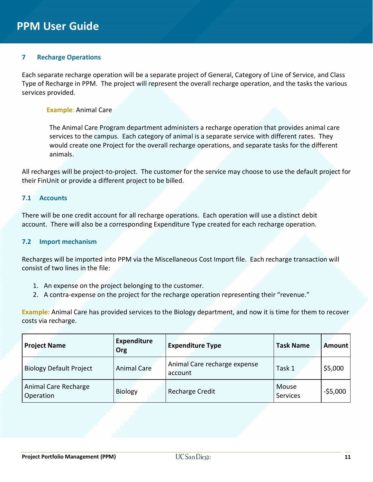## **7 Recharge Operations**

Each separate recharge operation will be a separate project of General, Category of Line of Service, and Class Type of Recharge in PPM. The project will represent the overall recharge operation, and the tasks the various services provided.

#### **Example**: Animal Care

The Animal Care Program department administers a recharge operation that provides animal care services to the campus. Each category of animal is a separate service with different rates. They would create one Project for the overall recharge operations, and separate tasks for the different animals.

All recharges will be project-to-project. The customer for the service may choose to use the default project for their FinUnit or provide a different project to be billed.

#### **7.1 Accounts**

There will be one credit account for all recharge operations. Each operation will use a distinct debit account. There will also be a corresponding Expenditure Type created for each recharge operation.

#### **7.2 Import mechanism**

Recharges will be imported into PPM via the Miscellaneous Cost Import file. Each recharge transaction will consist of two lines in the file:

- 1. An expense on the project belonging to the customer.
- 2. A contra-expense on the project for the recharge operation representing their "revenue."

**Example:** Animal Care has provided services to the Biology department, and now it is time for them to recover costs via recharge.

| <b>Project Name</b>               | <b>Expenditure</b><br>Org | <b>Expenditure Type</b>                 | <b>Task Name</b>  | Amount      |
|-----------------------------------|---------------------------|-----------------------------------------|-------------------|-------------|
| <b>Biology Default Project</b>    | <b>Animal Care</b>        | Animal Care recharge expense<br>account | Task 1            | \$5,000     |
| Animal Care Recharge<br>Operation | <b>Biology</b>            | <b>Recharge Credit</b>                  | Mouse<br>Services | $-$ \$5,000 |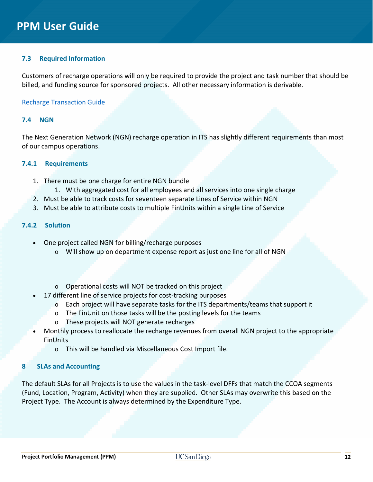## **7.3 Required Information**

Customers of recharge operations will only be required to provide the project and task number that should be billed, and funding source for sponsored projects. All other necessary information is derivable.

#### [Recharge Transaction Guide](https://collab.ucsd.edu/pages/viewpage.action?spaceKey=ESRFIS&title=Oracle+Financials+Recharge+Transaction+Guide)

#### **7.4 NGN**

The Next Generation Network (NGN) recharge operation in ITS has slightly different requirements than most of our campus operations.

#### **7.4.1 Requirements**

- 1. There must be one charge for entire NGN bundle 1. With aggregated cost for all employees and all services into one single charge
- 2. Must be able to track costs for seventeen separate Lines of Service within NGN
- 3. Must be able to attribute costs to multiple FinUnits within a single Line of Service

## **7.4.2 Solution**

- One project called NGN for billing/recharge purposes
	- $\circ$  Will show up on department expense report as just one line for all of NGN
	- o Operational costs will NOT be tracked on this project
- 17 different line of service projects for cost-tracking purposes
	- o Each project will have separate tasks for the ITS departments/teams that support it
	- o The FinUnit on those tasks will be the posting levels for the teams
	- o These projects will NOT generate recharges
- Monthly process to reallocate the recharge revenues from overall NGN project to the appropriate **FinUnits** 
	- o This will be handled via Miscellaneous Cost Import file.

#### **8 SLAs and Accounting**

The default SLAs for all Projects is to use the values in the task-level DFFs that match the CCOA segments (Fund, Location, Program, Activity) when they are supplied. Other SLAs may overwrite this based on the Project Type. The Account is always determined by the Expenditure Type.